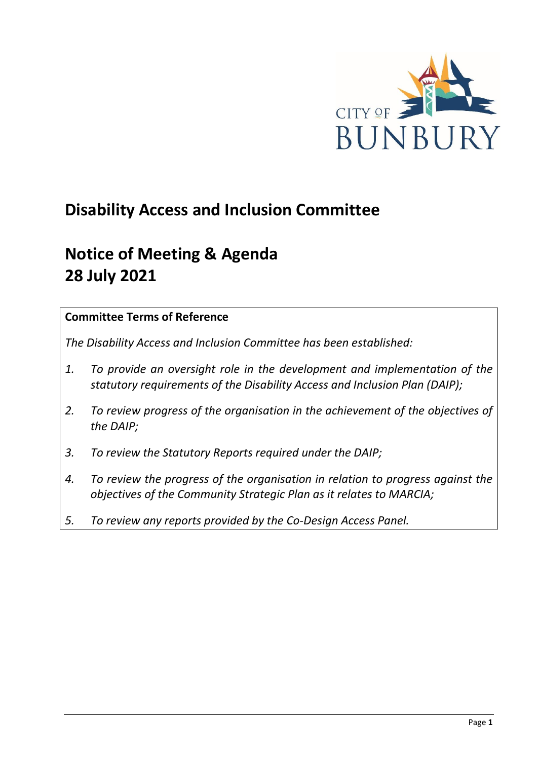

# **Disability Access and Inclusion Committee**

# **Notice of Meeting & Agenda 28 July 2021**

# **Committee Terms of Reference**

*The Disability Access and Inclusion Committee has been established:* 

- *1. To provide an oversight role in the development and implementation of the statutory requirements of the Disability Access and Inclusion Plan (DAIP);*
- *2. To review progress of the organisation in the achievement of the objectives of the DAIP;*
- *3. To review the Statutory Reports required under the DAIP;*
- *4. To review the progress of the organisation in relation to progress against the objectives of the Community Strategic Plan as it relates to MARCIA;*
- *5. To review any reports provided by the Co-Design Access Panel.*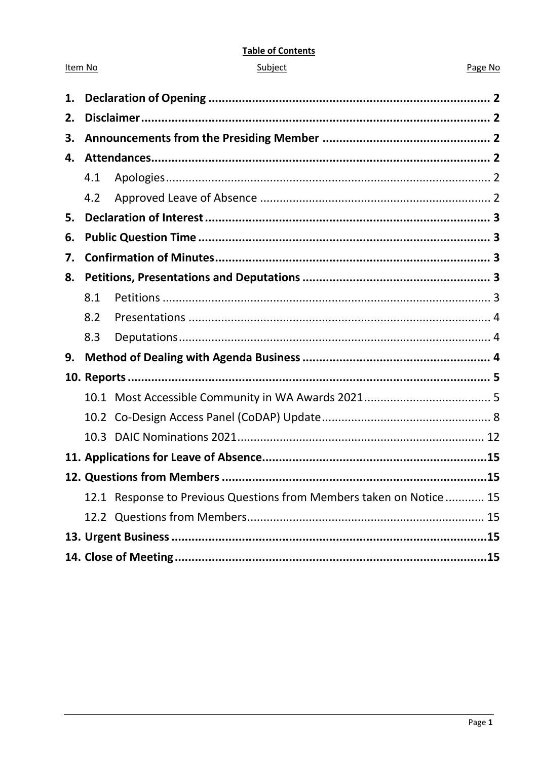#### **Table of Contents**

| ubie |  |
|------|--|
|      |  |
|      |  |

Item No

#### Page No

| 1. |     |                                                                     |  |
|----|-----|---------------------------------------------------------------------|--|
| 2. |     |                                                                     |  |
| З. |     |                                                                     |  |
| 4. |     |                                                                     |  |
|    | 4.1 |                                                                     |  |
|    | 4.2 |                                                                     |  |
| 5. |     |                                                                     |  |
| 6. |     |                                                                     |  |
| 7. |     |                                                                     |  |
| 8. |     |                                                                     |  |
|    | 8.1 |                                                                     |  |
|    | 8.2 |                                                                     |  |
|    | 8.3 |                                                                     |  |
| 9. |     |                                                                     |  |
|    |     |                                                                     |  |
|    |     |                                                                     |  |
|    |     |                                                                     |  |
|    |     |                                                                     |  |
|    |     |                                                                     |  |
|    |     |                                                                     |  |
|    |     | 12.1 Response to Previous Questions from Members taken on Notice 15 |  |
|    |     |                                                                     |  |
|    |     |                                                                     |  |
|    |     |                                                                     |  |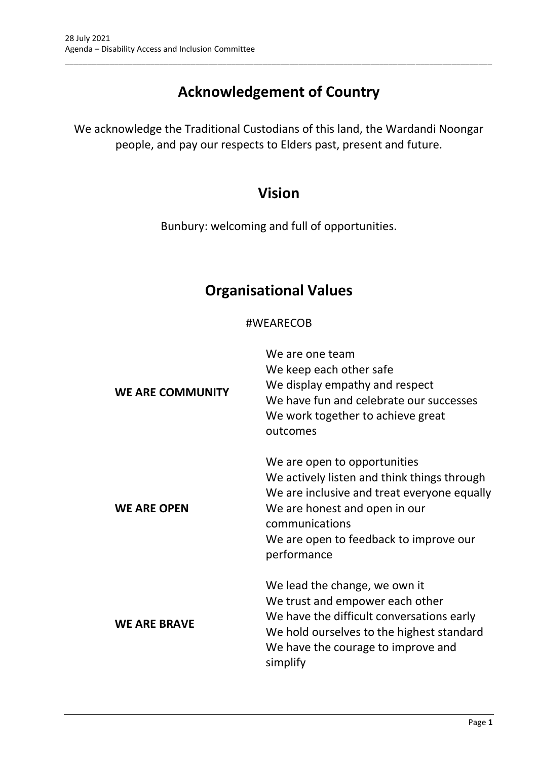# **Acknowledgement of Country**

\_\_\_\_\_\_\_\_\_\_\_\_\_\_\_\_\_\_\_\_\_\_\_\_\_\_\_\_\_\_\_\_\_\_\_\_\_\_\_\_\_\_\_\_\_\_\_\_\_\_\_\_\_\_\_\_\_\_\_\_\_\_\_\_\_\_\_\_\_\_\_\_\_\_\_\_\_\_\_\_\_\_\_\_\_\_\_\_\_\_\_\_\_\_\_

We acknowledge the Traditional Custodians of this land, the Wardandi Noongar people, and pay our respects to Elders past, present and future.

# **Vision**

Bunbury: welcoming and full of opportunities.

# **Organisational Values**

# #WEARECOB

| <b>WE ARE COMMUNITY</b> | We are one team<br>We keep each other safe<br>We display empathy and respect<br>We have fun and celebrate our successes<br>We work together to achieve great<br>outcomes                                                               |
|-------------------------|----------------------------------------------------------------------------------------------------------------------------------------------------------------------------------------------------------------------------------------|
| <b>WE ARE OPEN</b>      | We are open to opportunities<br>We actively listen and think things through<br>We are inclusive and treat everyone equally<br>We are honest and open in our<br>communications<br>We are open to feedback to improve our<br>performance |
| <b>WE ARE BRAVE</b>     | We lead the change, we own it<br>We trust and empower each other<br>We have the difficult conversations early<br>We hold ourselves to the highest standard<br>We have the courage to improve and<br>simplify                           |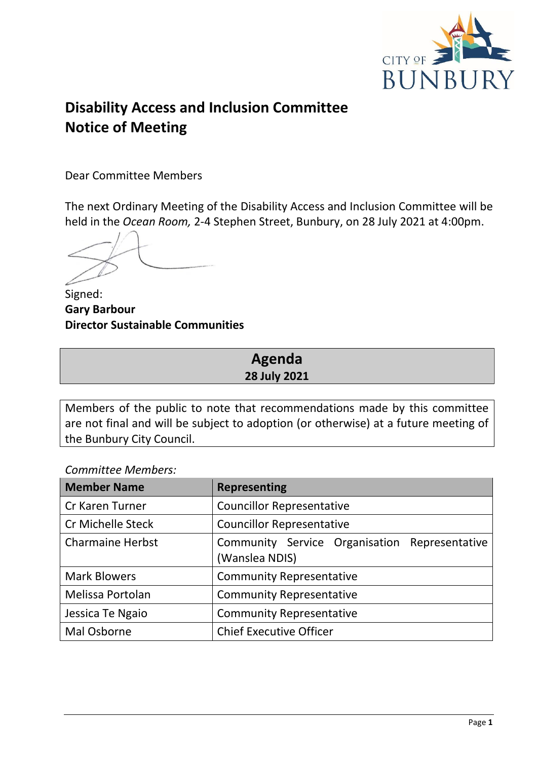

# **Disability Access and Inclusion Committee Notice of Meeting**

Dear Committee Members

The next Ordinary Meeting of the Disability Access and Inclusion Committee will be held in the *Ocean Room,* 2-4 Stephen Street, Bunbury, on 28 July 2021 at 4:00pm.

Signed: **Gary Barbour Director Sustainable Communities**

# **Agenda 28 July 2021**

Members of the public to note that recommendations made by this committee are not final and will be subject to adoption (or otherwise) at a future meeting of the Bunbury City Council.

# *Committee Members:*

| <b>Member Name</b>       | <b>Representing</b>                                             |
|--------------------------|-----------------------------------------------------------------|
| Cr Karen Turner          | <b>Councillor Representative</b>                                |
| <b>Cr Michelle Steck</b> | <b>Councillor Representative</b>                                |
| <b>Charmaine Herbst</b>  | Community Service Organisation Representative<br>(Wanslea NDIS) |
| <b>Mark Blowers</b>      | <b>Community Representative</b>                                 |
| Melissa Portolan         | <b>Community Representative</b>                                 |
| Jessica Te Ngaio         | <b>Community Representative</b>                                 |
| Mal Osborne              | <b>Chief Executive Officer</b>                                  |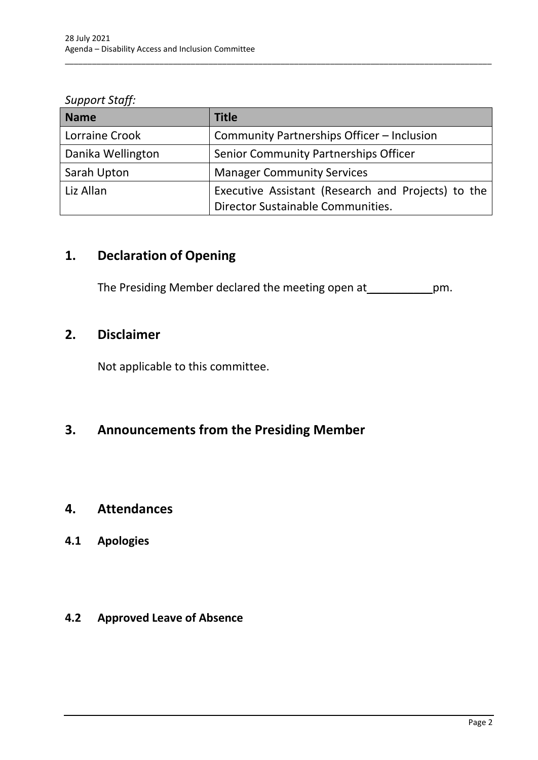### *Support Staff:*

| <b>Name</b>       | <b>Title</b>                                                                            |
|-------------------|-----------------------------------------------------------------------------------------|
| Lorraine Crook    | Community Partnerships Officer - Inclusion                                              |
| Danika Wellington | Senior Community Partnerships Officer                                                   |
| Sarah Upton       | <b>Manager Community Services</b>                                                       |
| Liz Allan         | Executive Assistant (Research and Projects) to the<br>Director Sustainable Communities. |

\_\_\_\_\_\_\_\_\_\_\_\_\_\_\_\_\_\_\_\_\_\_\_\_\_\_\_\_\_\_\_\_\_\_\_\_\_\_\_\_\_\_\_\_\_\_\_\_\_\_\_\_\_\_\_\_\_\_\_\_\_\_\_\_\_\_\_\_\_\_\_\_\_\_\_\_\_\_\_\_\_\_\_\_\_\_\_\_\_\_\_\_\_\_\_

# <span id="page-4-0"></span>**1. Declaration of Opening**

The Presiding Member declared the meeting open at \_\_\_\_\_\_\_\_\_\_\_\_\_pm.

# <span id="page-4-1"></span>**2. Disclaimer**

Not applicable to this committee.

# <span id="page-4-2"></span>**3. Announcements from the Presiding Member**

# <span id="page-4-3"></span>**4. Attendances**

# <span id="page-4-4"></span>**4.1 Apologies**

# <span id="page-4-5"></span>**4.2 Approved Leave of Absence**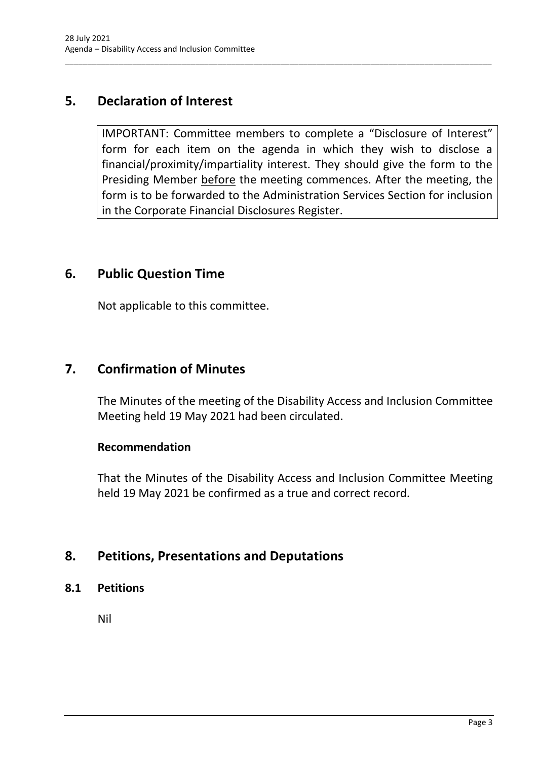# <span id="page-5-0"></span>**5. Declaration of Interest**

IMPORTANT: Committee members to complete a "Disclosure of Interest" form for each item on the agenda in which they wish to disclose a financial/proximity/impartiality interest. They should give the form to the Presiding Member before the meeting commences. After the meeting, the form is to be forwarded to the Administration Services Section for inclusion in the Corporate Financial Disclosures Register.

\_\_\_\_\_\_\_\_\_\_\_\_\_\_\_\_\_\_\_\_\_\_\_\_\_\_\_\_\_\_\_\_\_\_\_\_\_\_\_\_\_\_\_\_\_\_\_\_\_\_\_\_\_\_\_\_\_\_\_\_\_\_\_\_\_\_\_\_\_\_\_\_\_\_\_\_\_\_\_\_\_\_\_\_\_\_\_\_\_\_\_\_\_\_\_

# <span id="page-5-1"></span>**6. Public Question Time**

Not applicable to this committee.

# <span id="page-5-2"></span>**7. Confirmation of Minutes**

The Minutes of the meeting of the Disability Access and Inclusion Committee Meeting held 19 May 2021 had been circulated.

# **Recommendation**

That the Minutes of the Disability Access and Inclusion Committee Meeting held 19 May 2021 be confirmed as a true and correct record.

# <span id="page-5-3"></span>**8. Petitions, Presentations and Deputations**

<span id="page-5-4"></span>**8.1 Petitions**

Nil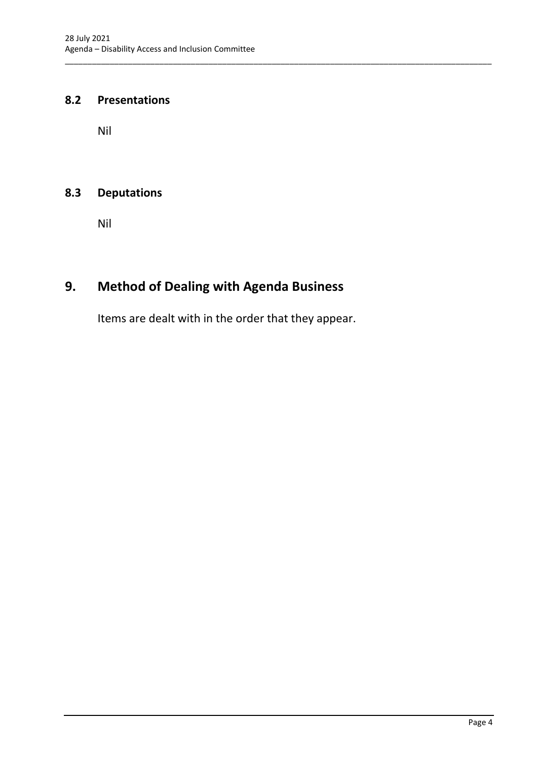### <span id="page-6-0"></span>**8.2 Presentations**

Nil

# <span id="page-6-1"></span>**8.3 Deputations**

Nil

# <span id="page-6-2"></span>**9. Method of Dealing with Agenda Business**

Items are dealt with in the order that they appear.

\_\_\_\_\_\_\_\_\_\_\_\_\_\_\_\_\_\_\_\_\_\_\_\_\_\_\_\_\_\_\_\_\_\_\_\_\_\_\_\_\_\_\_\_\_\_\_\_\_\_\_\_\_\_\_\_\_\_\_\_\_\_\_\_\_\_\_\_\_\_\_\_\_\_\_\_\_\_\_\_\_\_\_\_\_\_\_\_\_\_\_\_\_\_\_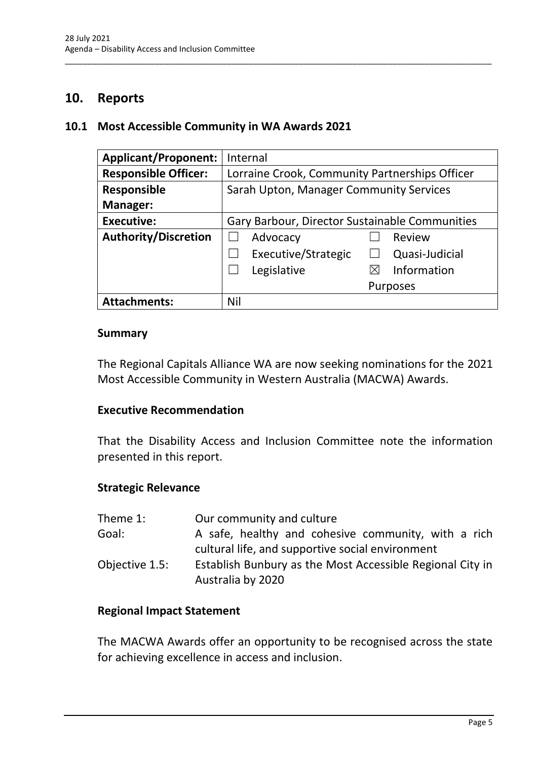# <span id="page-7-0"></span>**10. Reports**

#### <span id="page-7-1"></span>**10.1 Most Accessible Community in WA Awards 2021**

| <b>Applicant/Proponent:</b> | Internal                                       |
|-----------------------------|------------------------------------------------|
| <b>Responsible Officer:</b> | Lorraine Crook, Community Partnerships Officer |
| <b>Responsible</b>          | Sarah Upton, Manager Community Services        |
| <b>Manager:</b>             |                                                |
| <b>Executive:</b>           | Gary Barbour, Director Sustainable Communities |
| <b>Authority/Discretion</b> | Advocacy<br>Review                             |
|                             | Executive/Strategic<br>Quasi-Judicial          |
|                             | Information<br>Legislative                     |
|                             | Purposes                                       |
| <b>Attachments:</b>         | Nil                                            |

\_\_\_\_\_\_\_\_\_\_\_\_\_\_\_\_\_\_\_\_\_\_\_\_\_\_\_\_\_\_\_\_\_\_\_\_\_\_\_\_\_\_\_\_\_\_\_\_\_\_\_\_\_\_\_\_\_\_\_\_\_\_\_\_\_\_\_\_\_\_\_\_\_\_\_\_\_\_\_\_\_\_\_\_\_\_\_\_\_\_\_\_\_\_\_

#### **Summary**

The Regional Capitals Alliance WA are now seeking nominations for the 2021 Most Accessible Community in Western Australia (MACWA) Awards.

### **Executive Recommendation**

That the Disability Access and Inclusion Committee note the information presented in this report.

#### **Strategic Relevance**

| Theme 1:       | Our community and culture                                                      |
|----------------|--------------------------------------------------------------------------------|
| Goal:          | A safe, healthy and cohesive community, with a rich                            |
|                | cultural life, and supportive social environment                               |
| Objective 1.5: | Establish Bunbury as the Most Accessible Regional City in<br>Australia by 2020 |

#### **Regional Impact Statement**

The MACWA Awards offer an opportunity to be recognised across the state for achieving excellence in access and inclusion.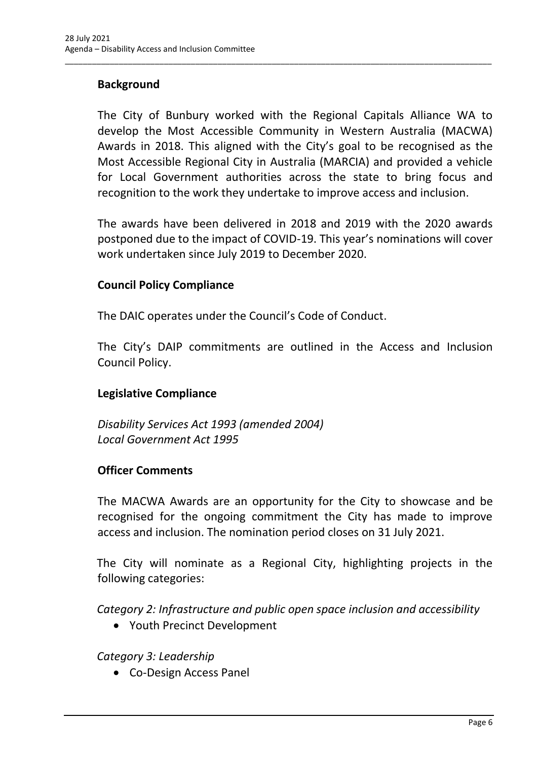# **Background**

The City of Bunbury worked with the Regional Capitals Alliance WA to develop the Most Accessible Community in Western Australia (MACWA) Awards in 2018. This aligned with the City's goal to be recognised as the Most Accessible Regional City in Australia (MARCIA) and provided a vehicle for Local Government authorities across the state to bring focus and recognition to the work they undertake to improve access and inclusion.

\_\_\_\_\_\_\_\_\_\_\_\_\_\_\_\_\_\_\_\_\_\_\_\_\_\_\_\_\_\_\_\_\_\_\_\_\_\_\_\_\_\_\_\_\_\_\_\_\_\_\_\_\_\_\_\_\_\_\_\_\_\_\_\_\_\_\_\_\_\_\_\_\_\_\_\_\_\_\_\_\_\_\_\_\_\_\_\_\_\_\_\_\_\_\_

The awards have been delivered in 2018 and 2019 with the 2020 awards postponed due to the impact of COVID-19. This year's nominations will cover work undertaken since July 2019 to December 2020.

### **Council Policy Compliance**

The DAIC operates under the Council's Code of Conduct.

The City's DAIP commitments are outlined in the Access and Inclusion Council Policy.

# **Legislative Compliance**

*Disability Services Act 1993 (amended 2004) Local Government Act 1995*

#### **Officer Comments**

The MACWA Awards are an opportunity for the City to showcase and be recognised for the ongoing commitment the City has made to improve access and inclusion. The nomination period closes on 31 July 2021.

The City will nominate as a Regional City, highlighting projects in the following categories:

*Category 2: Infrastructure and public open space inclusion and accessibility*

• Youth Precinct Development

# *Category 3: Leadership*

• Co-Design Access Panel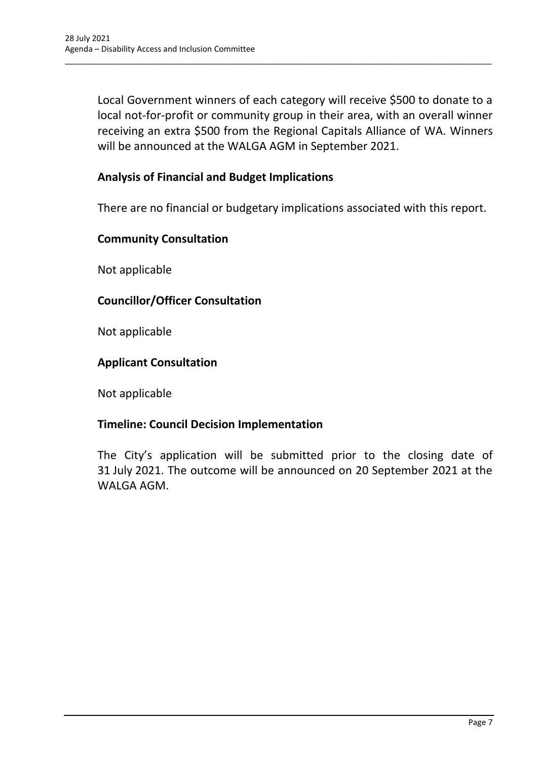Local Government winners of each category will receive \$500 to donate to a local not-for-profit or community group in their area, with an overall winner receiving an extra \$500 from the Regional Capitals Alliance of WA. Winners will be announced at the WALGA AGM in September 2021.

\_\_\_\_\_\_\_\_\_\_\_\_\_\_\_\_\_\_\_\_\_\_\_\_\_\_\_\_\_\_\_\_\_\_\_\_\_\_\_\_\_\_\_\_\_\_\_\_\_\_\_\_\_\_\_\_\_\_\_\_\_\_\_\_\_\_\_\_\_\_\_\_\_\_\_\_\_\_\_\_\_\_\_\_\_\_\_\_\_\_\_\_\_\_\_

# **Analysis of Financial and Budget Implications**

There are no financial or budgetary implications associated with this report.

#### **Community Consultation**

Not applicable

### **Councillor/Officer Consultation**

Not applicable

#### **Applicant Consultation**

Not applicable

#### **Timeline: Council Decision Implementation**

The City's application will be submitted prior to the closing date of 31 July 2021. The outcome will be announced on 20 September 2021 at the WALGA AGM.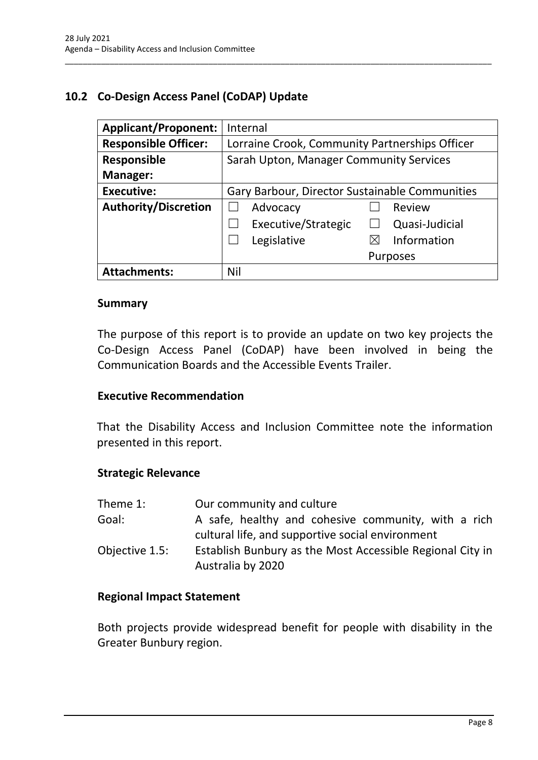# <span id="page-10-0"></span>**10.2 Co-Design Access Panel (CoDAP) Update**

| <b>Applicant/Proponent:</b> | Internal                                       |
|-----------------------------|------------------------------------------------|
| <b>Responsible Officer:</b> | Lorraine Crook, Community Partnerships Officer |
| Responsible                 | Sarah Upton, Manager Community Services        |
| <b>Manager:</b>             |                                                |
| <b>Executive:</b>           | Gary Barbour, Director Sustainable Communities |
| <b>Authority/Discretion</b> | Advocacy<br>Review                             |
|                             | Executive/Strategic<br>Quasi-Judicial          |
|                             | Information<br>Legislative<br>⋉                |
|                             | <b>Purposes</b>                                |
| <b>Attachments:</b>         | Nil                                            |

\_\_\_\_\_\_\_\_\_\_\_\_\_\_\_\_\_\_\_\_\_\_\_\_\_\_\_\_\_\_\_\_\_\_\_\_\_\_\_\_\_\_\_\_\_\_\_\_\_\_\_\_\_\_\_\_\_\_\_\_\_\_\_\_\_\_\_\_\_\_\_\_\_\_\_\_\_\_\_\_\_\_\_\_\_\_\_\_\_\_\_\_\_\_\_

#### **Summary**

The purpose of this report is to provide an update on two key projects the Co-Design Access Panel (CoDAP) have been involved in being the Communication Boards and the Accessible Events Trailer.

#### **Executive Recommendation**

That the Disability Access and Inclusion Committee note the information presented in this report.

#### **Strategic Relevance**

| Theme 1:       | Our community and culture                                                                               |
|----------------|---------------------------------------------------------------------------------------------------------|
| Goal:          | A safe, healthy and cohesive community, with a rich<br>cultural life, and supportive social environment |
| Objective 1.5: | Establish Bunbury as the Most Accessible Regional City in<br>Australia by 2020                          |

#### **Regional Impact Statement**

Both projects provide widespread benefit for people with disability in the Greater Bunbury region.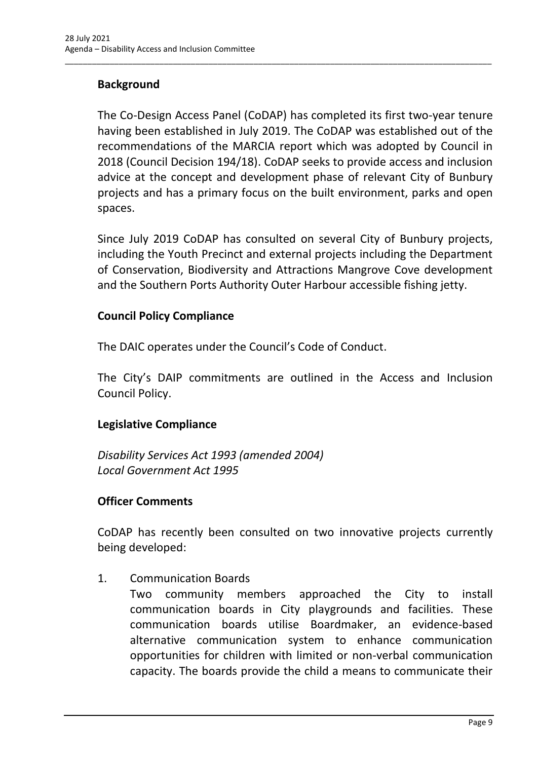# **Background**

The Co-Design Access Panel (CoDAP) has completed its first two-year tenure having been established in July 2019. The CoDAP was established out of the recommendations of the MARCIA report which was adopted by Council in 2018 (Council Decision 194/18). CoDAP seeks to provide access and inclusion advice at the concept and development phase of relevant City of Bunbury projects and has a primary focus on the built environment, parks and open spaces.

\_\_\_\_\_\_\_\_\_\_\_\_\_\_\_\_\_\_\_\_\_\_\_\_\_\_\_\_\_\_\_\_\_\_\_\_\_\_\_\_\_\_\_\_\_\_\_\_\_\_\_\_\_\_\_\_\_\_\_\_\_\_\_\_\_\_\_\_\_\_\_\_\_\_\_\_\_\_\_\_\_\_\_\_\_\_\_\_\_\_\_\_\_\_\_

Since July 2019 CoDAP has consulted on several City of Bunbury projects, including the Youth Precinct and external projects including the Department of Conservation, Biodiversity and Attractions Mangrove Cove development and the Southern Ports Authority Outer Harbour accessible fishing jetty.

### **Council Policy Compliance**

The DAIC operates under the Council's Code of Conduct.

The City's DAIP commitments are outlined in the Access and Inclusion Council Policy.

# **Legislative Compliance**

*Disability Services Act 1993 (amended 2004) Local Government Act 1995*

# **Officer Comments**

CoDAP has recently been consulted on two innovative projects currently being developed:

1. Communication Boards

Two community members approached the City to install communication boards in City playgrounds and facilities. These communication boards utilise Boardmaker, an evidence-based alternative communication system to enhance communication opportunities for children with limited or non-verbal communication capacity. The boards provide the child a means to communicate their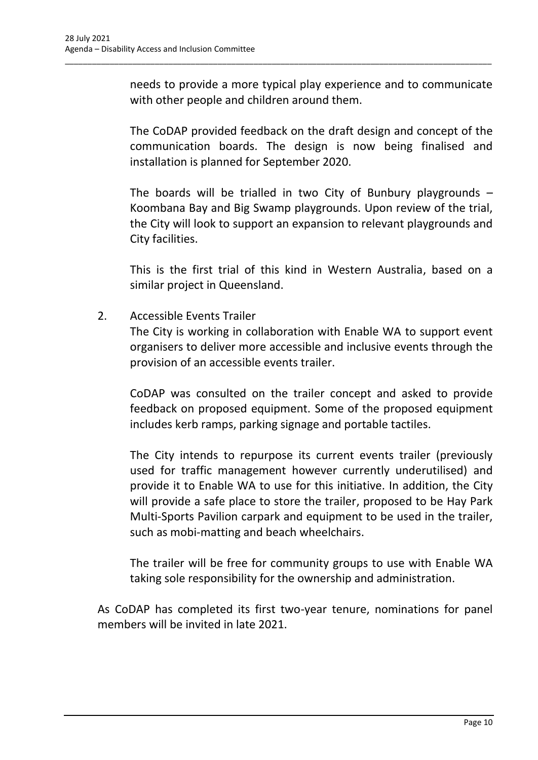needs to provide a more typical play experience and to communicate with other people and children around them.

\_\_\_\_\_\_\_\_\_\_\_\_\_\_\_\_\_\_\_\_\_\_\_\_\_\_\_\_\_\_\_\_\_\_\_\_\_\_\_\_\_\_\_\_\_\_\_\_\_\_\_\_\_\_\_\_\_\_\_\_\_\_\_\_\_\_\_\_\_\_\_\_\_\_\_\_\_\_\_\_\_\_\_\_\_\_\_\_\_\_\_\_\_\_\_

The CoDAP provided feedback on the draft design and concept of the communication boards. The design is now being finalised and installation is planned for September 2020.

The boards will be trialled in two City of Bunbury playgrounds  $-$ Koombana Bay and Big Swamp playgrounds. Upon review of the trial, the City will look to support an expansion to relevant playgrounds and City facilities.

This is the first trial of this kind in Western Australia, based on a similar project in Queensland.

2. Accessible Events Trailer

The City is working in collaboration with Enable WA to support event organisers to deliver more accessible and inclusive events through the provision of an accessible events trailer.

CoDAP was consulted on the trailer concept and asked to provide feedback on proposed equipment. Some of the proposed equipment includes kerb ramps, parking signage and portable tactiles.

The City intends to repurpose its current events trailer (previously used for traffic management however currently underutilised) and provide it to Enable WA to use for this initiative. In addition, the City will provide a safe place to store the trailer, proposed to be Hay Park Multi-Sports Pavilion carpark and equipment to be used in the trailer, such as mobi-matting and beach wheelchairs.

The trailer will be free for community groups to use with Enable WA taking sole responsibility for the ownership and administration.

As CoDAP has completed its first two-year tenure, nominations for panel members will be invited in late 2021.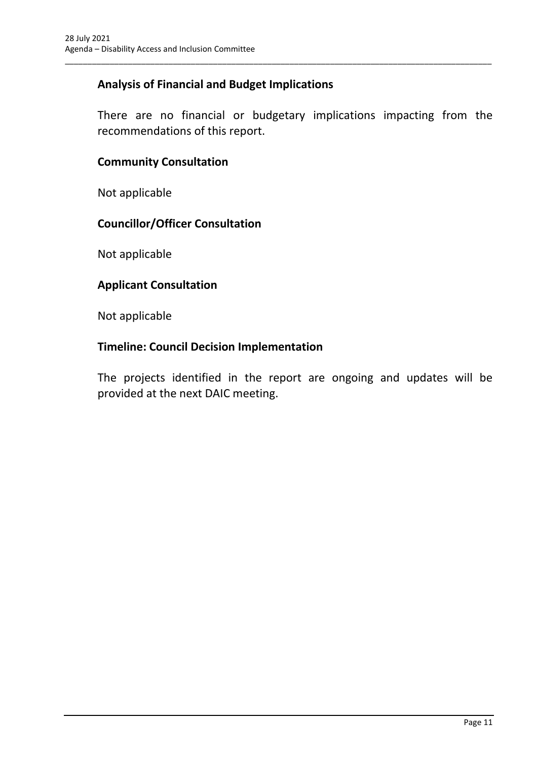# **Analysis of Financial and Budget Implications**

There are no financial or budgetary implications impacting from the recommendations of this report.

\_\_\_\_\_\_\_\_\_\_\_\_\_\_\_\_\_\_\_\_\_\_\_\_\_\_\_\_\_\_\_\_\_\_\_\_\_\_\_\_\_\_\_\_\_\_\_\_\_\_\_\_\_\_\_\_\_\_\_\_\_\_\_\_\_\_\_\_\_\_\_\_\_\_\_\_\_\_\_\_\_\_\_\_\_\_\_\_\_\_\_\_\_\_\_

### **Community Consultation**

Not applicable

# **Councillor/Officer Consultation**

Not applicable

#### **Applicant Consultation**

Not applicable

### **Timeline: Council Decision Implementation**

The projects identified in the report are ongoing and updates will be provided at the next DAIC meeting.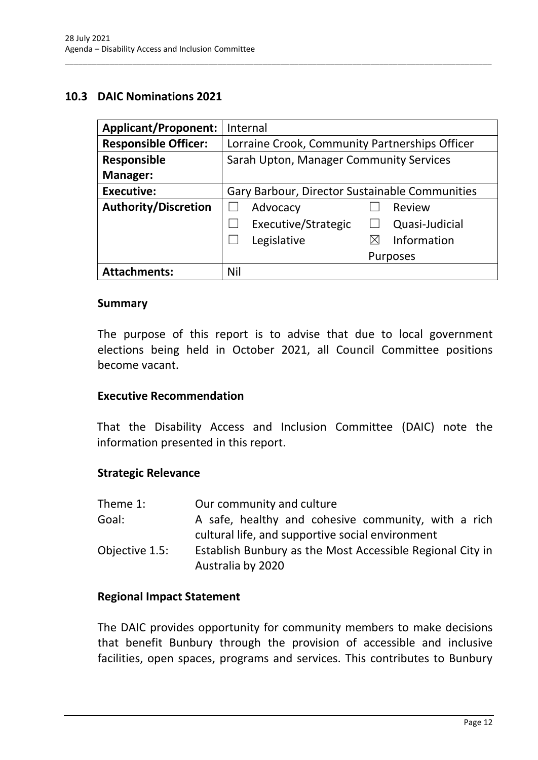### <span id="page-14-0"></span>**10.3 DAIC Nominations 2021**

| <b>Applicant/Proponent:</b> | Internal                                       |
|-----------------------------|------------------------------------------------|
| <b>Responsible Officer:</b> | Lorraine Crook, Community Partnerships Officer |
| <b>Responsible</b>          | Sarah Upton, Manager Community Services        |
| Manager:                    |                                                |
| <b>Executive:</b>           | Gary Barbour, Director Sustainable Communities |
| <b>Authority/Discretion</b> | Review<br>Advocacy                             |
|                             | Executive/Strategic<br>Quasi-Judicial          |
|                             | Information<br>Legislative                     |
|                             | <b>Purposes</b>                                |
| <b>Attachments:</b>         | Nil                                            |

\_\_\_\_\_\_\_\_\_\_\_\_\_\_\_\_\_\_\_\_\_\_\_\_\_\_\_\_\_\_\_\_\_\_\_\_\_\_\_\_\_\_\_\_\_\_\_\_\_\_\_\_\_\_\_\_\_\_\_\_\_\_\_\_\_\_\_\_\_\_\_\_\_\_\_\_\_\_\_\_\_\_\_\_\_\_\_\_\_\_\_\_\_\_\_

#### **Summary**

The purpose of this report is to advise that due to local government elections being held in October 2021, all Council Committee positions become vacant.

#### **Executive Recommendation**

That the Disability Access and Inclusion Committee (DAIC) note the information presented in this report.

#### **Strategic Relevance**

| Theme 1:       | Our community and culture                                                                               |
|----------------|---------------------------------------------------------------------------------------------------------|
| Goal:          | A safe, healthy and cohesive community, with a rich<br>cultural life, and supportive social environment |
| Objective 1.5: | Establish Bunbury as the Most Accessible Regional City in<br>Australia by 2020                          |

#### **Regional Impact Statement**

The DAIC provides opportunity for community members to make decisions that benefit Bunbury through the provision of accessible and inclusive facilities, open spaces, programs and services. This contributes to Bunbury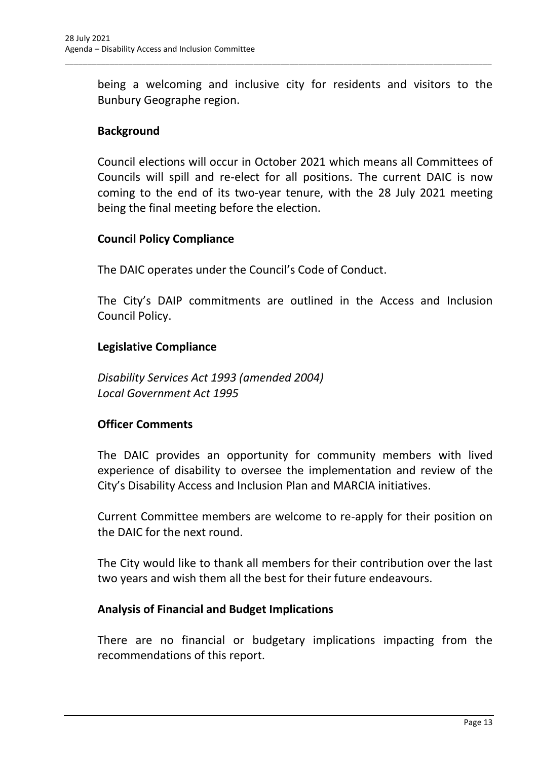being a welcoming and inclusive city for residents and visitors to the Bunbury Geographe region.

\_\_\_\_\_\_\_\_\_\_\_\_\_\_\_\_\_\_\_\_\_\_\_\_\_\_\_\_\_\_\_\_\_\_\_\_\_\_\_\_\_\_\_\_\_\_\_\_\_\_\_\_\_\_\_\_\_\_\_\_\_\_\_\_\_\_\_\_\_\_\_\_\_\_\_\_\_\_\_\_\_\_\_\_\_\_\_\_\_\_\_\_\_\_\_

# **Background**

Council elections will occur in October 2021 which means all Committees of Councils will spill and re-elect for all positions. The current DAIC is now coming to the end of its two-year tenure, with the 28 July 2021 meeting being the final meeting before the election.

# **Council Policy Compliance**

The DAIC operates under the Council's Code of Conduct.

The City's DAIP commitments are outlined in the Access and Inclusion Council Policy.

# **Legislative Compliance**

*Disability Services Act 1993 (amended 2004) Local Government Act 1995*

# **Officer Comments**

The DAIC provides an opportunity for community members with lived experience of disability to oversee the implementation and review of the City's Disability Access and Inclusion Plan and MARCIA initiatives.

Current Committee members are welcome to re-apply for their position on the DAIC for the next round.

The City would like to thank all members for their contribution over the last two years and wish them all the best for their future endeavours.

# **Analysis of Financial and Budget Implications**

There are no financial or budgetary implications impacting from the recommendations of this report.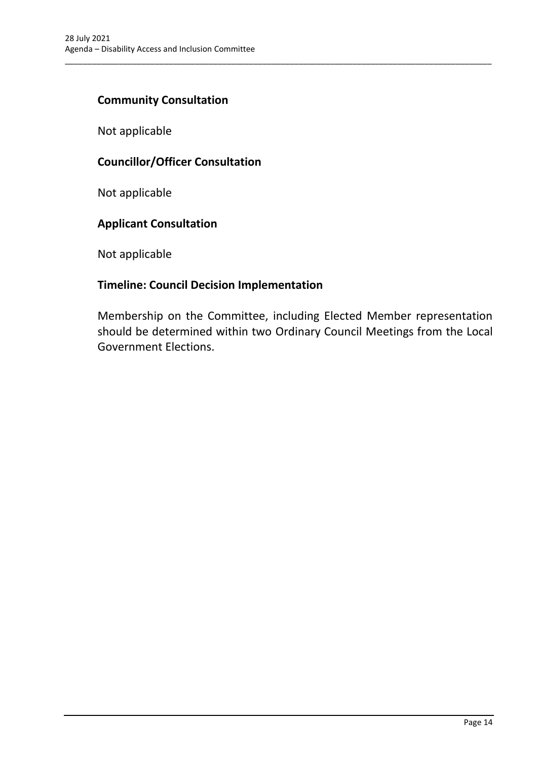### **Community Consultation**

Not applicable

# **Councillor/Officer Consultation**

Not applicable

# **Applicant Consultation**

Not applicable

# **Timeline: Council Decision Implementation**

Membership on the Committee, including Elected Member representation should be determined within two Ordinary Council Meetings from the Local Government Elections.

\_\_\_\_\_\_\_\_\_\_\_\_\_\_\_\_\_\_\_\_\_\_\_\_\_\_\_\_\_\_\_\_\_\_\_\_\_\_\_\_\_\_\_\_\_\_\_\_\_\_\_\_\_\_\_\_\_\_\_\_\_\_\_\_\_\_\_\_\_\_\_\_\_\_\_\_\_\_\_\_\_\_\_\_\_\_\_\_\_\_\_\_\_\_\_